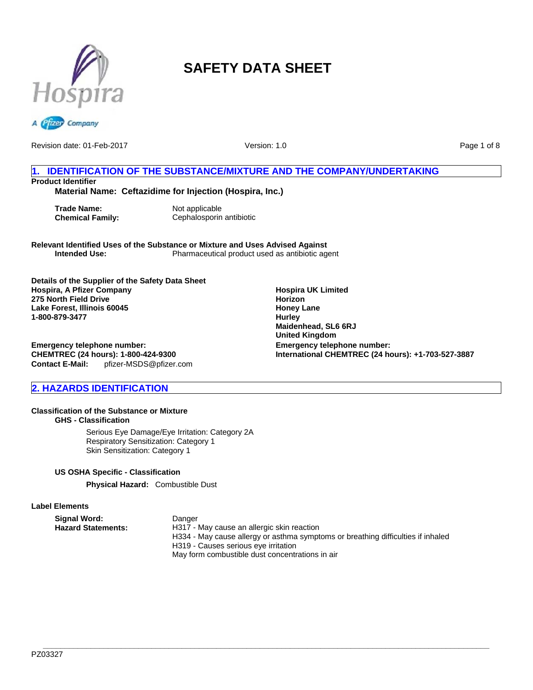



Version: 1.0

Page 1 of 8

## **1. IDENTIFICATION OF THE SUBSTANCE/MIXTURE AND THE COMPANY/UNDERTAKING Product Identifier**

**Material Name: Ceftazidime for Injection (Hospira, Inc.)**

**Trade Name:** Not applicable

**Chemical Family:** Cephalosporin antibiotic

**Relevant Identified Uses of the Substance or Mixture and Uses Advised Against** Pharmaceutical product used as antibiotic agent

**Details of the Supplier of the Safety Data Sheet Hospira, A Pfizer Company 275 North Field Drive Lake Forest, Illinois 60045 1-800-879-3477**

**Emergency telephone number: CHEMTREC (24 hours): 1-800-424-9300 Contact E-Mail:** pfizer-MSDS@pfizer.com

## **2. HAZARDS IDENTIFICATION**

## **Classification of the Substance or Mixture**

**GHS - Classification**

Serious Eye Damage/Eye Irritation: Category 2A Respiratory Sensitization: Category 1 Skin Sensitization: Category 1

## **US OSHA Specific - Classification**

**Physical Hazard:** Combustible Dust

## **Label Elements**

**Signal Word:** Danger<br> **Hazard Statements:** H317 -

H317 - May cause an allergic skin reaction H334 - May cause allergy or asthma symptoms or breathing difficulties if inhaled H319 - Causes serious eye irritation May form combustible dust concentrations in air

**Hospira UK Limited Horizon Honey Lane Hurley Maidenhead, SL6 6RJ United Kingdom Emergency telephone number: International CHEMTREC (24 hours): +1-703-527-3887**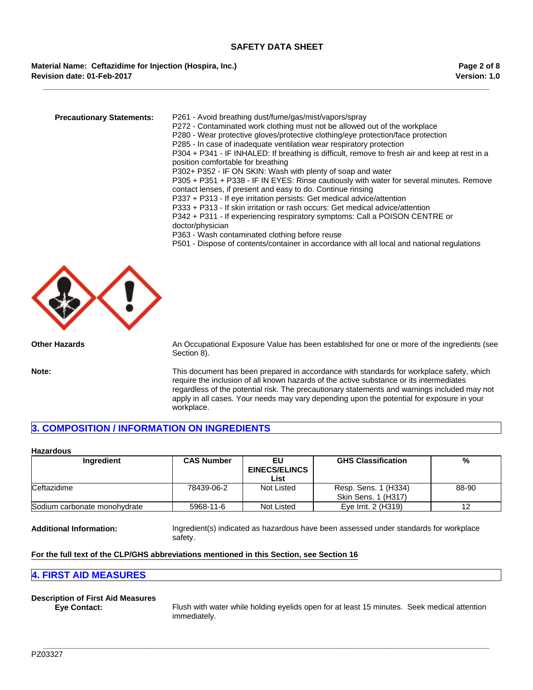**\_\_\_\_\_\_\_\_\_\_\_\_\_\_\_\_\_\_\_\_\_\_\_\_\_\_\_\_\_\_\_\_\_\_\_\_\_\_\_\_\_\_\_\_\_\_\_\_\_\_\_\_\_\_\_\_\_\_\_\_\_\_\_\_\_\_\_\_\_\_\_\_\_\_\_\_\_\_\_\_\_\_\_\_\_\_\_\_\_\_\_\_\_\_\_\_\_\_\_\_\_\_\_**

## **Material Name: Ceftazidime for Injection (Hospira, Inc.) Revision date: 01-Feb-2017**

| <b>Precautionary Statements:</b> | P261 - Avoid breathing dust/fume/gas/mist/vapors/spray<br>P272 - Contaminated work clothing must not be allowed out of the workplace<br>P280 - Wear protective gloves/protective clothing/eye protection/face protection<br>P285 - In case of inadequate ventilation wear respiratory protection<br>P304 + P341 - IF INHALED: If breathing is difficult, remove to fresh air and keep at rest in a<br>position comfortable for breathing |
|----------------------------------|------------------------------------------------------------------------------------------------------------------------------------------------------------------------------------------------------------------------------------------------------------------------------------------------------------------------------------------------------------------------------------------------------------------------------------------|
|                                  | P302+ P352 - IF ON SKIN: Wash with plenty of soap and water<br>P305 + P351 + P338 - IF IN EYES: Rinse cautiously with water for several minutes. Remove<br>contact lenses, if present and easy to do. Continue rinsing<br>P337 + P313 - If eye irritation persists: Get medical advice/attention                                                                                                                                         |
|                                  | P333 + P313 - If skin irritation or rash occurs: Get medical advice/attention<br>P342 + P311 - If experiencing respiratory symptoms: Call a POISON CENTRE or<br>doctor/physician                                                                                                                                                                                                                                                         |
|                                  | P363 - Wash contaminated clothing before reuse<br>P501 - Dispose of contents/container in accordance with all local and national regulations                                                                                                                                                                                                                                                                                             |



**Other Hazards** An Occupational Exposure Value has been established for one or more of the ingredients (see Section 8).

**Note:** This document has been prepared in accordance with standards for workplace safety, which require the inclusion of all known hazards of the active substance or its intermediates regardless of the potential risk. The precautionary statements and warnings included may not apply in all cases. Your needs may vary depending upon the potential for exposure in your workplace.

## **3. COMPOSITION / INFORMATION ON INGREDIENTS**

#### **Hazardous**

| Ingredient                   | <b>CAS Number</b> | EU                   | <b>GHS Classification</b> | %     |
|------------------------------|-------------------|----------------------|---------------------------|-------|
|                              |                   | <b>EINECS/ELINCS</b> |                           |       |
|                              |                   | List                 |                           |       |
| Ceftazidime                  | 78439-06-2        | Not Listed           | Resp. Sens. 1 (H334)      | 88-90 |
|                              |                   |                      | Skin Sens. 1 (H317)       |       |
| Sodium carbonate monohydrate | 5968-11-6         | Not Listed           | Eve Irrit. 2 (H319)       |       |

**\_\_\_\_\_\_\_\_\_\_\_\_\_\_\_\_\_\_\_\_\_\_\_\_\_\_\_\_\_\_\_\_\_\_\_\_\_\_\_\_\_\_\_\_\_\_\_\_\_\_\_\_\_\_\_\_\_\_\_\_\_\_\_\_\_\_\_\_\_\_\_\_\_\_\_\_\_\_\_\_\_\_\_\_\_\_\_\_\_\_\_\_\_\_\_\_\_\_\_\_\_\_\_**

**Additional Information:** Ingredient(s) indicated as hazardous have been assessed under standards for workplace safety.

## **For the full text of the CLP/GHS abbreviations mentioned in this Section, see Section 16**

## **4. FIRST AID MEASURES**

## **Description of First Aid Measures**

**Eye Contact:** Flush with water while holding eyelids open for at least 15 minutes. Seek medical attention immediately.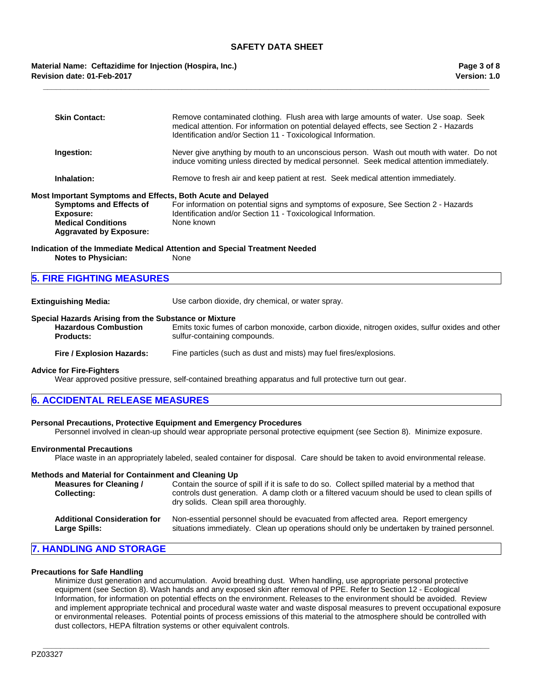**\_\_\_\_\_\_\_\_\_\_\_\_\_\_\_\_\_\_\_\_\_\_\_\_\_\_\_\_\_\_\_\_\_\_\_\_\_\_\_\_\_\_\_\_\_\_\_\_\_\_\_\_\_\_\_\_\_\_\_\_\_\_\_\_\_\_\_\_\_\_\_\_\_\_\_\_\_\_\_\_\_\_\_\_\_\_\_\_\_\_\_\_\_\_\_\_\_\_\_\_\_\_\_**

## **Revision date: 01-Feb-2017 Material Name: Ceftazidime for Injection (Hospira, Inc.)**

| <b>Skin Contact:</b>                                                                                       | Remove contaminated clothing. Flush area with large amounts of water. Use soap. Seek<br>medical attention. For information on potential delayed effects, see Section 2 - Hazards<br>Identification and/or Section 11 - Toxicological Information. |
|------------------------------------------------------------------------------------------------------------|---------------------------------------------------------------------------------------------------------------------------------------------------------------------------------------------------------------------------------------------------|
| Ingestion:                                                                                                 | Never give anything by mouth to an unconscious person. Wash out mouth with water. Do not<br>induce vomiting unless directed by medical personnel. Seek medical attention immediately.                                                             |
| Inhalation:                                                                                                | Remove to fresh air and keep patient at rest. Seek medical attention immediately.                                                                                                                                                                 |
| Most Important Symptoms and Effects, Both Acute and Delayed                                                |                                                                                                                                                                                                                                                   |
| <b>Symptoms and Effects of</b><br>Exposure:<br><b>Medical Conditions</b><br><b>Aggravated by Exposure:</b> | For information on potential signs and symptoms of exposure, See Section 2 - Hazards<br>Identification and/or Section 11 - Toxicological Information.<br>None known                                                                               |
| <b>Notes to Physician:</b>                                                                                 | Indication of the Immediate Medical Attention and Special Treatment Needed<br>None                                                                                                                                                                |
|                                                                                                            |                                                                                                                                                                                                                                                   |

## **5. FIRE FIGHTING MEASURES**

**Extinguishing Media:** Use carbon dioxide, dry chemical, or water spray.

#### **Special Hazards Arising from the Substance or Mixture**

| <b>Hazardous Combustion</b> | Emits toxic fumes of carbon monoxide, carbon dioxide, nitrogen oxides, sulfur oxides and other |
|-----------------------------|------------------------------------------------------------------------------------------------|
| <b>Products:</b>            | sulfur-containing compounds.                                                                   |

#### **Fire / Explosion Hazards:** Fine particles (such as dust and mists) may fuel fires/explosions.

#### **Advice for Fire-Fighters**

Wear approved positive pressure, self-contained breathing apparatus and full protective turn out gear.

## **6. ACCIDENTAL RELEASE MEASURES**

#### **Personal Precautions, Protective Equipment and Emergency Procedures**

Personnel involved in clean-up should wear appropriate personal protective equipment (see Section 8). Minimize exposure.

#### **Environmental Precautions**

Place waste in an appropriately labeled, sealed container for disposal. Care should be taken to avoid environmental release.

#### **Methods and Material for Containment and Cleaning Up**

| Measures for Cleaning /<br><b>Collecting:</b> | Contain the source of spill if it is safe to do so. Collect spilled material by a method that<br>controls dust generation. A damp cloth or a filtered vacuum should be used to clean spills of<br>dry solids. Clean spill area thoroughly. |
|-----------------------------------------------|--------------------------------------------------------------------------------------------------------------------------------------------------------------------------------------------------------------------------------------------|
|                                               |                                                                                                                                                                                                                                            |

| <b>Additional Consideration for</b> | Non-essential personnel should be evacuated from affected area. Report emergency            |
|-------------------------------------|---------------------------------------------------------------------------------------------|
| <b>Large Spills:</b>                | situations immediately. Clean up operations should only be undertaken by trained personnel. |

## **7. HANDLING AND STORAGE**

#### **Precautions for Safe Handling**

Minimize dust generation and accumulation. Avoid breathing dust. When handling, use appropriate personal protective equipment (see Section 8). Wash hands and any exposed skin after removal of PPE. Refer to Section 12 - Ecological Information, for information on potential effects on the environment. Releases to the environment should be avoided. Review and implement appropriate technical and procedural waste water and waste disposal measures to prevent occupational exposure or environmental releases. Potential points of process emissions of this material to the atmosphere should be controlled with dust collectors, HEPA filtration systems or other equivalent controls.

**\_\_\_\_\_\_\_\_\_\_\_\_\_\_\_\_\_\_\_\_\_\_\_\_\_\_\_\_\_\_\_\_\_\_\_\_\_\_\_\_\_\_\_\_\_\_\_\_\_\_\_\_\_\_\_\_\_\_\_\_\_\_\_\_\_\_\_\_\_\_\_\_\_\_\_\_\_\_\_\_\_\_\_\_\_\_\_\_\_\_\_\_\_\_\_\_\_\_\_\_\_\_\_**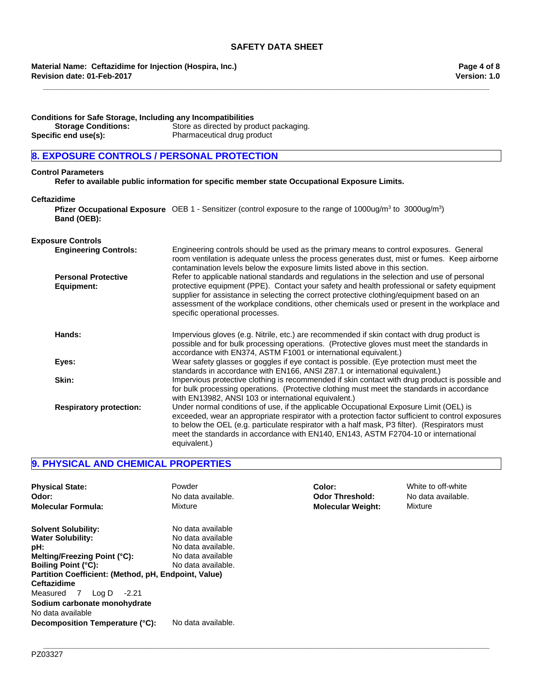**\_\_\_\_\_\_\_\_\_\_\_\_\_\_\_\_\_\_\_\_\_\_\_\_\_\_\_\_\_\_\_\_\_\_\_\_\_\_\_\_\_\_\_\_\_\_\_\_\_\_\_\_\_\_\_\_\_\_\_\_\_\_\_\_\_\_\_\_\_\_\_\_\_\_\_\_\_\_\_\_\_\_\_\_\_\_\_\_\_\_\_\_\_\_\_\_\_\_\_\_\_\_\_**

**Revision date: 01-Feb-2017 Material Name: Ceftazidime for Injection (Hospira, Inc.)**

**Conditions for Safe Storage, Including any Incompatibilities Storage Conditions:** Store as directed by product packaging. **Specific end use(s):** Pharmaceutical drug product

## **8. EXPOSURE CONTROLS / PERSONAL PROTECTION**

#### **Control Parameters**

**Refer to available public information for specific member state Occupational Exposure Limits.**

#### **Ceftazidime**

**Pfizer Occupational Exposure** OEB 1 - Sensitizer (control exposure to the range of 1000ug/m<sup>3</sup> to 3000ug/m<sup>3</sup>) **Band (OEB):**

#### **Exposure Controls**

| <b>Engineering Controls:</b>             | Engineering controls should be used as the primary means to control exposures. General<br>room ventilation is adequate unless the process generates dust, mist or fumes. Keep airborne<br>contamination levels below the exposure limits listed above in this section.                                                                                                                                                      |
|------------------------------------------|-----------------------------------------------------------------------------------------------------------------------------------------------------------------------------------------------------------------------------------------------------------------------------------------------------------------------------------------------------------------------------------------------------------------------------|
| <b>Personal Protective</b><br>Equipment: | Refer to applicable national standards and regulations in the selection and use of personal<br>protective equipment (PPE). Contact your safety and health professional or safety equipment<br>supplier for assistance in selecting the correct protective clothing/equipment based on an<br>assessment of the workplace conditions, other chemicals used or present in the workplace and<br>specific operational processes. |
| Hands:                                   | Impervious gloves (e.g. Nitrile, etc.) are recommended if skin contact with drug product is<br>possible and for bulk processing operations. (Protective gloves must meet the standards in<br>accordance with EN374, ASTM F1001 or international equivalent.)                                                                                                                                                                |
| Eyes:                                    | Wear safety glasses or goggles if eye contact is possible. (Eye protection must meet the<br>standards in accordance with EN166, ANSI Z87.1 or international equivalent.)                                                                                                                                                                                                                                                    |
| Skin:                                    | Impervious protective clothing is recommended if skin contact with drug product is possible and<br>for bulk processing operations. (Protective clothing must meet the standards in accordance<br>with EN13982, ANSI 103 or international equivalent.)                                                                                                                                                                       |
| <b>Respiratory protection:</b>           | Under normal conditions of use, if the applicable Occupational Exposure Limit (OEL) is<br>exceeded, wear an appropriate respirator with a protection factor sufficient to control exposures<br>to below the OEL (e.g. particulate respirator with a half mask, P3 filter). (Respirators must<br>meet the standards in accordance with EN140, EN143, ASTM F2704-10 or international<br>equivalent.)                          |

## **9. PHYSICAL AND CHEMICAL PROPERTIES**

| <b>Physical State:</b>                               | Powder             | Color:                   | White to off-white |
|------------------------------------------------------|--------------------|--------------------------|--------------------|
| Odor:                                                | No data available. | <b>Odor Threshold:</b>   | No data available. |
| <b>Molecular Formula:</b>                            | Mixture            | <b>Molecular Weight:</b> | Mixture            |
| <b>Solvent Solubility:</b>                           | No data available  |                          |                    |
| <b>Water Solubility:</b>                             | No data available  |                          |                    |
| pH:                                                  | No data available. |                          |                    |
| Melting/Freezing Point (°C):                         | No data available  |                          |                    |
| <b>Boiling Point (°C):</b>                           | No data available. |                          |                    |
| Partition Coefficient: (Method, pH, Endpoint, Value) |                    |                          |                    |
| <b>Ceftazidime</b>                                   |                    |                          |                    |
| Measured<br>Log D<br>$-2.21$<br><sup>7</sup>         |                    |                          |                    |
| Sodium carbonate monohydrate<br>No data available    |                    |                          |                    |
| Decomposition Temperature (°C):                      | No data available. |                          |                    |

**\_\_\_\_\_\_\_\_\_\_\_\_\_\_\_\_\_\_\_\_\_\_\_\_\_\_\_\_\_\_\_\_\_\_\_\_\_\_\_\_\_\_\_\_\_\_\_\_\_\_\_\_\_\_\_\_\_\_\_\_\_\_\_\_\_\_\_\_\_\_\_\_\_\_\_\_\_\_\_\_\_\_\_\_\_\_\_\_\_\_\_\_\_\_\_\_\_\_\_\_\_\_\_**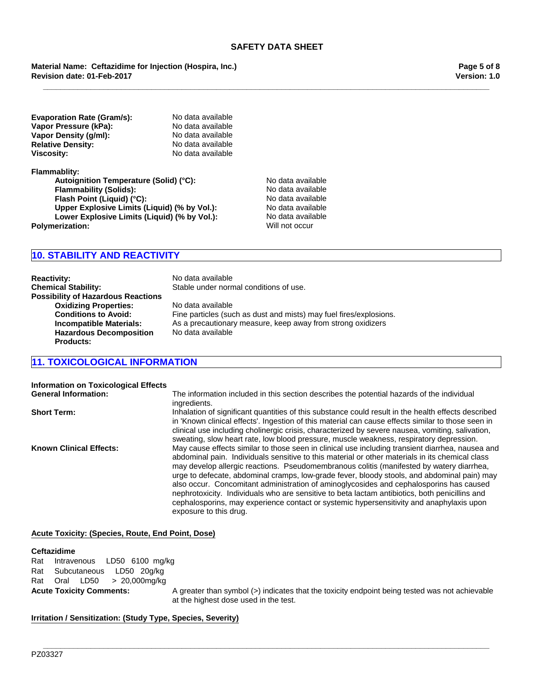**\_\_\_\_\_\_\_\_\_\_\_\_\_\_\_\_\_\_\_\_\_\_\_\_\_\_\_\_\_\_\_\_\_\_\_\_\_\_\_\_\_\_\_\_\_\_\_\_\_\_\_\_\_\_\_\_\_\_\_\_\_\_\_\_\_\_\_\_\_\_\_\_\_\_\_\_\_\_\_\_\_\_\_\_\_\_\_\_\_\_\_\_\_\_\_\_\_\_\_\_\_\_\_**

## **Revision date: 01-Feb-2017 Material Name: Ceftazidime for Injection (Hospira, Inc.)**

**Version: 1.0 Page 5 of 8**

**Evaporation Rate (Gram/s):** No data available<br> **Vapor Pressure (kPa):** No data available **Vapor Pressure (kPa):** No data available<br> **Vapor Density (q/ml):** No data available **Vapor Density (g/ml):** No data available<br> **Relative Density:** No data available **Relative Density: Viscosity:** No data available

**Flammablity:**

Autoignition Temperature (Solid) (°C):<br>
Flammability (Solids): No data available **Flammability (Solids):**<br> **Flash Point (Liquid) (°C):** No data available **Flash Point (Liquid) (°C): Flash Point (Liquid) (°C):**<br> **Upper Explosive Limits (Liquid) (% by Vol.):** No data available **Upper Explosive Limits (Liquid) (% by Vol.):** No data available<br> **Lower Explosive Limits (Liquid) (% by Vol.):** No data available **Lower Explosive Limits (Liquid) (% by Vol.):** No data availa<br> **erization:** Will not occur **Polymerization:** 

## **10. STABILITY AND REACTIVITY**

**Reactivity:** No data available **Chemical Stability:** Stable under normal conditions of use. **Possibility of Hazardous Reactions Oxidizing Properties:** No data available **Hazardous Decomposition Products:**

**Conditions to Avoid:** Fine particles (such as dust and mists) may fuel fires/explosions. **Incompatible Materials:** As a precautionary measure, keep away from strong oxidizers No data available

## **11. TOXICOLOGICAL INFORMATION**

| <b>Information on Toxicological Effects</b> |                                                                                                                                                                                                                                                                                                                                                                                                                                                                                                                                                                                                                                                                                                                   |
|---------------------------------------------|-------------------------------------------------------------------------------------------------------------------------------------------------------------------------------------------------------------------------------------------------------------------------------------------------------------------------------------------------------------------------------------------------------------------------------------------------------------------------------------------------------------------------------------------------------------------------------------------------------------------------------------------------------------------------------------------------------------------|
| <b>General Information:</b>                 | The information included in this section describes the potential hazards of the individual<br>ingredients.                                                                                                                                                                                                                                                                                                                                                                                                                                                                                                                                                                                                        |
| <b>Short Term:</b>                          | Inhalation of significant quantities of this substance could result in the health effects described<br>in 'Known clinical effects'. Ingestion of this material can cause effects similar to those seen in<br>clinical use including cholinergic crisis, characterized by severe nausea, vomiting, salivation,<br>sweating, slow heart rate, low blood pressure, muscle weakness, respiratory depression.                                                                                                                                                                                                                                                                                                          |
| <b>Known Clinical Effects:</b>              | May cause effects similar to those seen in clinical use including transient diarrhea, nausea and<br>abdominal pain. Individuals sensitive to this material or other materials in its chemical class<br>may develop allergic reactions. Pseudomembranous colitis (manifested by watery diarrhea,<br>urge to defecate, abdominal cramps, low-grade fever, bloody stools, and abdominal pain) may<br>also occur. Concomitant administration of aminoglycosides and cephalosporins has caused<br>nephrotoxicity. Individuals who are sensitive to beta lactam antibiotics, both penicillins and<br>cephalosporins, may experience contact or systemic hypersensitivity and anaphylaxis upon<br>exposure to this drug. |

**\_\_\_\_\_\_\_\_\_\_\_\_\_\_\_\_\_\_\_\_\_\_\_\_\_\_\_\_\_\_\_\_\_\_\_\_\_\_\_\_\_\_\_\_\_\_\_\_\_\_\_\_\_\_\_\_\_\_\_\_\_\_\_\_\_\_\_\_\_\_\_\_\_\_\_\_\_\_\_\_\_\_\_\_\_\_\_\_\_\_\_\_\_\_\_\_\_\_\_\_\_\_\_**

## **Acute Toxicity: (Species, Route, End Point, Dose)**

#### **Ceftazidime**

RatOralLD50 >20,000mg/kg RatIntravenousLD50 6100mg/kg RatSubcutaneousLD50 20g/kg

**Acute Toxicity Comments:** A greater than symbol (>) indicates that the toxicity endpoint being tested was not achievable at the highest dose used in the test.

## **Irritation / Sensitization: (Study Type, Species, Severity)**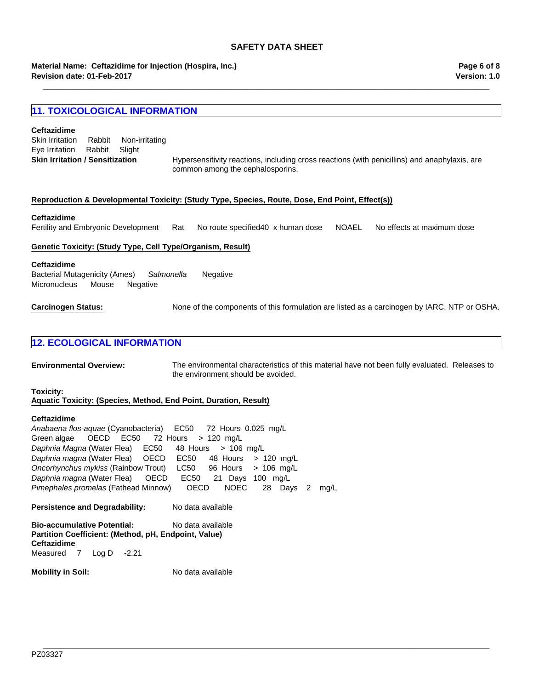**\_\_\_\_\_\_\_\_\_\_\_\_\_\_\_\_\_\_\_\_\_\_\_\_\_\_\_\_\_\_\_\_\_\_\_\_\_\_\_\_\_\_\_\_\_\_\_\_\_\_\_\_\_\_\_\_\_\_\_\_\_\_\_\_\_\_\_\_\_\_\_\_\_\_\_\_\_\_\_\_\_\_\_\_\_\_\_\_\_\_\_\_\_\_\_\_\_\_\_\_\_\_\_**

## **Material Name: Ceftazidime for Injection (Hospira, Inc.) Revision date: 01-Feb-2017**

## **11. TOXICOLOGICAL INFORMATION**

#### **Ceftazidime**

| Skin Irritation / Sensitization |        |                |
|---------------------------------|--------|----------------|
| Eye Irritation Rabbit Slight    |        |                |
| Skin Irritation                 | Rabbit | Non-irritating |

Hypersensitivity reactions, including cross reactions (with penicillins) and anaphylaxis, are common among the cephalosporins.

#### **Reproduction & Developmental Toxicity: (Study Type, Species, Route, Dose, End Point, Effect(s))**

#### **Ceftazidime**

Fertility and Embryonic DevelopmentRatNo route specified40x human doseNOAELNo effects at maximum dose

#### **Genetic Toxicity: (Study Type, Cell Type/Organism, Result)**

#### **Ceftazidime**

Bacterial Mutagenicity (Ames)*Salmonella* Negative MicronucleusMouseNegative

**Carcinogen Status:** None of the components of this formulation are listed as a carcinogen by IARC, NTP or OSHA.

## **12. ECOLOGICAL INFORMATION**

**Environmental Overview:** The environmental characteristics of this material have not been fully evaluated. Releases to the environment should be avoided.

**\_\_\_\_\_\_\_\_\_\_\_\_\_\_\_\_\_\_\_\_\_\_\_\_\_\_\_\_\_\_\_\_\_\_\_\_\_\_\_\_\_\_\_\_\_\_\_\_\_\_\_\_\_\_\_\_\_\_\_\_\_\_\_\_\_\_\_\_\_\_\_\_\_\_\_\_\_\_\_\_\_\_\_\_\_\_\_\_\_\_\_\_\_\_\_\_\_\_\_\_\_\_\_**

#### **Toxicity:**

**Aquatic Toxicity: (Species, Method, End Point, Duration, Result)**

#### **Ceftazidime**

*Daphnia magna* (Water Flea)OECDEC5021Days100mg/L *Pimephales promelas* (Fathead Minnow)OECDNOEC28Days2mg/L *Anabaena flos-aquae* (Cyanobacteria)EC50 72Hours0.025mg/L Green algae OECDEC50 72Hours>120mg/L *Daphnia Magna* (Water Flea)EC50 48Hours>106mg/L *Daphnia magna* (Water Flea)OECDEC50 48Hours>120mg/L *Oncorhynchus mykiss* (Rainbow Trout)LC50 96Hours>106mg/L

**Persistence and Degradability:** No data available

**Bio-accumulative Potential:** No data available **Partition Coefficient: (Method, pH, Endpoint, Value) Ceftazidime** Measured7Log D-2.21

**Mobility in Soil:** No data available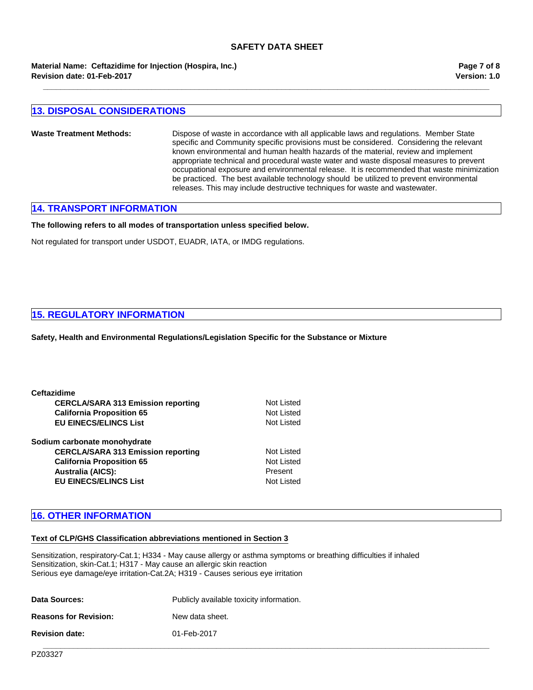**Revision date: 01-Feb-2017 Material Name: Ceftazidime for Injection (Hospira, Inc.)** **Version: 1.0 Page 7 of 8**

## **13. DISPOSAL CONSIDERATIONS**

**Waste Treatment Methods:** Dispose of waste in accordance with all applicable laws and regulations. Member State specific and Community specific provisions must be considered. Considering the relevant known environmental and human health hazards of the material, review and implement appropriate technical and procedural waste water and waste disposal measures to prevent occupational exposure and environmental release. It is recommended that waste minimization be practiced. The best available technology should be utilized to prevent environmental releases. This may include destructive techniques for waste and wastewater.

**\_\_\_\_\_\_\_\_\_\_\_\_\_\_\_\_\_\_\_\_\_\_\_\_\_\_\_\_\_\_\_\_\_\_\_\_\_\_\_\_\_\_\_\_\_\_\_\_\_\_\_\_\_\_\_\_\_\_\_\_\_\_\_\_\_\_\_\_\_\_\_\_\_\_\_\_\_\_\_\_\_\_\_\_\_\_\_\_\_\_\_\_\_\_\_\_\_\_\_\_\_\_\_**

## **14. TRANSPORT INFORMATION**

**The following refers to all modes of transportation unless specified below.**

Not regulated for transport under USDOT, EUADR, IATA, or IMDG regulations.

## **15. REGULATORY INFORMATION**

**Safety, Health and Environmental Regulations/Legislation Specific for the Substance or Mixture**

| <b>Ceftazidime</b>                        |            |
|-------------------------------------------|------------|
| <b>CERCLA/SARA 313 Emission reporting</b> | Not Listed |
| <b>California Proposition 65</b>          | Not Listed |
| <b>EU EINECS/ELINCS List</b>              | Not Listed |
| Sodium carbonate monohydrate              |            |
| <b>CERCLA/SARA 313 Emission reporting</b> | Not Listed |
| <b>California Proposition 65</b>          | Not Listed |
| <b>Australia (AICS):</b>                  | Present    |
| <b>EU EINECS/ELINCS List</b>              | Not Listed |

## **16. OTHER INFORMATION**

#### **Text of CLP/GHS Classification abbreviations mentioned in Section 3**

Sensitization, respiratory-Cat.1; H334 - May cause allergy or asthma symptoms or breathing difficulties if inhaled Sensitization, skin-Cat.1; H317 - May cause an allergic skin reaction Serious eye damage/eye irritation-Cat.2A; H319 - Causes serious eye irritation

| <b>Data Sources:</b>         | Publicly available toxicity information. |
|------------------------------|------------------------------------------|
| <b>Reasons for Revision:</b> | New data sheet.                          |
| <b>Revision date:</b>        | 01-Feb-2017                              |